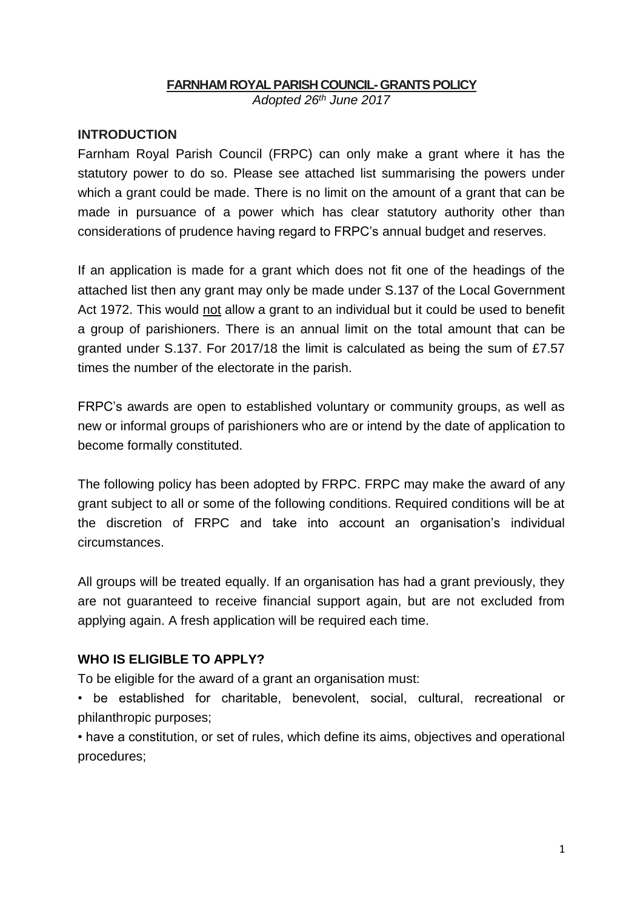### **FARNHAM ROYALPARISH COUNCIL-GRANTS POLICY**

*Adopted 26th June 2017*

#### **INTRODUCTION**

Farnham Royal Parish Council (FRPC) can only make a grant where it has the statutory power to do so. Please see attached list summarising the powers under which a grant could be made. There is no limit on the amount of a grant that can be made in pursuance of a power which has clear statutory authority other than considerations of prudence having regard to FRPC's annual budget and reserves.

If an application is made for a grant which does not fit one of the headings of the attached list then any grant may only be made under S.137 of the Local Government Act 1972. This would not allow a grant to an individual but it could be used to benefit a group of parishioners. There is an annual limit on the total amount that can be granted under S.137. For 2017/18 the limit is calculated as being the sum of £7.57 times the number of the electorate in the parish.

FRPC's awards are open to established voluntary or community groups, as well as new or informal groups of parishioners who are or intend by the date of application to become formally constituted.

The following policy has been adopted by FRPC. FRPC may make the award of any grant subject to all or some of the following conditions. Required conditions will be at the discretion of FRPC and take into account an organisation's individual circumstances.

All groups will be treated equally. If an organisation has had a grant previously, they are not guaranteed to receive financial support again, but are not excluded from applying again. A fresh application will be required each time.

### **WHO IS ELIGIBLE TO APPLY?**

To be eligible for the award of a grant an organisation must:

• be established for charitable, benevolent, social, cultural, recreational or philanthropic purposes;

• have a constitution, or set of rules, which define its aims, objectives and operational procedures;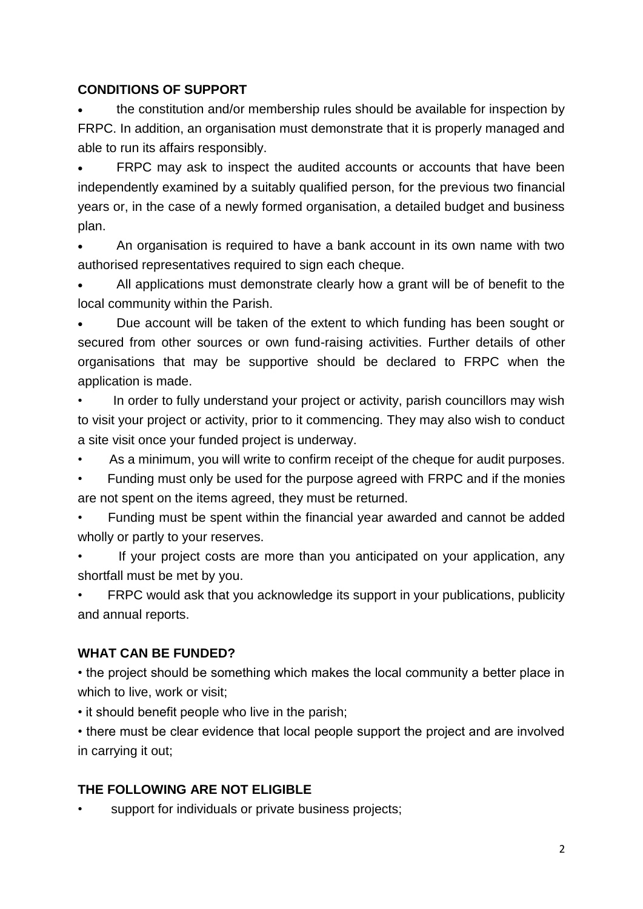### **CONDITIONS OF SUPPORT**

 the constitution and/or membership rules should be available for inspection by FRPC. In addition, an organisation must demonstrate that it is properly managed and able to run its affairs responsibly.

 FRPC may ask to inspect the audited accounts or accounts that have been independently examined by a suitably qualified person, for the previous two financial years or, in the case of a newly formed organisation, a detailed budget and business plan.

 An organisation is required to have a bank account in its own name with two authorised representatives required to sign each cheque.

 All applications must demonstrate clearly how a grant will be of benefit to the local community within the Parish.

• Due account will be taken of the extent to which funding has been sought or secured from other sources or own fund-raising activities. Further details of other organisations that may be supportive should be declared to FRPC when the application is made.

• In order to fully understand your project or activity, parish councillors may wish to visit your project or activity, prior to it commencing. They may also wish to conduct a site visit once your funded project is underway.

As a minimum, you will write to confirm receipt of the cheque for audit purposes.

• Funding must only be used for the purpose agreed with FRPC and if the monies are not spent on the items agreed, they must be returned.

• Funding must be spent within the financial year awarded and cannot be added wholly or partly to your reserves.

If your project costs are more than you anticipated on your application, any shortfall must be met by you.

FRPC would ask that you acknowledge its support in your publications, publicity and annual reports.

## **WHAT CAN BE FUNDED?**

• the project should be something which makes the local community a better place in which to live, work or visit;

• it should benefit people who live in the parish;

• there must be clear evidence that local people support the project and are involved in carrying it out;

# **THE FOLLOWING ARE NOT ELIGIBLE**

support for individuals or private business projects;